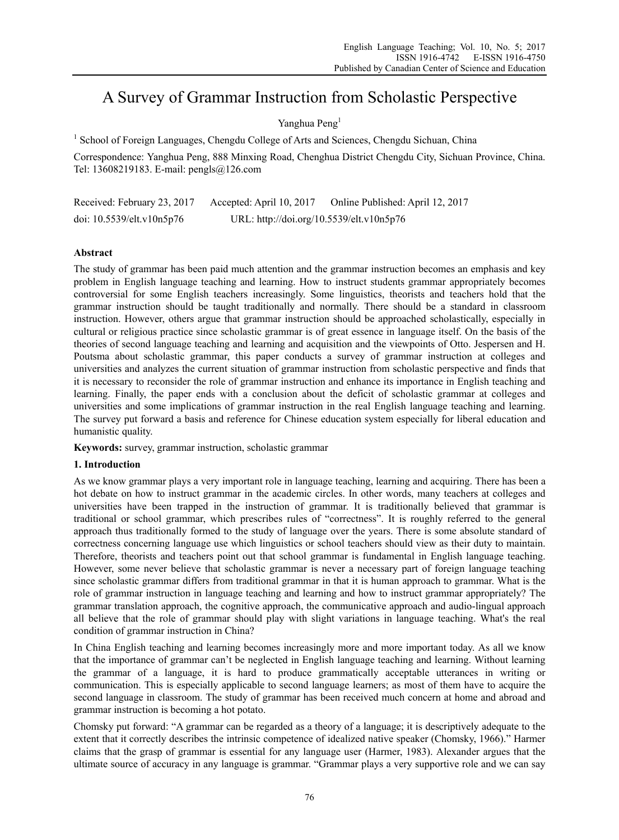# A Survey of Grammar Instruction from Scholastic Perspective

Yanghua Peng<sup>1</sup>

<sup>1</sup> School of Foreign Languages, Chengdu College of Arts and Sciences, Chengdu Sichuan, China

Correspondence: Yanghua Peng, 888 Minxing Road, Chenghua District Chengdu City, Sichuan Province, China. Tel: 13608219183. E-mail: pengls@126.com

Received: February 23, 2017 Accepted: April 10, 2017 Online Published: April 12, 2017 doi: 10.5539/elt.v10n5p76 URL: http://doi.org/10.5539/elt.v10n5p76

# **Abstract**

The study of grammar has been paid much attention and the grammar instruction becomes an emphasis and key problem in English language teaching and learning. How to instruct students grammar appropriately becomes controversial for some English teachers increasingly. Some linguistics, theorists and teachers hold that the grammar instruction should be taught traditionally and normally. There should be a standard in classroom instruction. However, others argue that grammar instruction should be approached scholastically, especially in cultural or religious practice since scholastic grammar is of great essence in language itself. On the basis of the theories of second language teaching and learning and acquisition and the viewpoints of Otto. Jespersen and H. Poutsma about scholastic grammar, this paper conducts a survey of grammar instruction at colleges and universities and analyzes the current situation of grammar instruction from scholastic perspective and finds that it is necessary to reconsider the role of grammar instruction and enhance its importance in English teaching and learning. Finally, the paper ends with a conclusion about the deficit of scholastic grammar at colleges and universities and some implications of grammar instruction in the real English language teaching and learning. The survey put forward a basis and reference for Chinese education system especially for liberal education and humanistic quality.

**Keywords:** survey, grammar instruction, scholastic grammar

# **1. Introduction**

As we know grammar plays a very important role in language teaching, learning and acquiring. There has been a hot debate on how to instruct grammar in the academic circles. In other words, many teachers at colleges and universities have been trapped in the instruction of grammar. It is traditionally believed that grammar is traditional or school grammar, which prescribes rules of "correctness". It is roughly referred to the general approach thus traditionally formed to the study of language over the years. There is some absolute standard of correctness concerning language use which linguistics or school teachers should view as their duty to maintain. Therefore, theorists and teachers point out that school grammar is fundamental in English language teaching. However, some never believe that scholastic grammar is never a necessary part of foreign language teaching since scholastic grammar differs from traditional grammar in that it is human approach to grammar. What is the role of grammar instruction in language teaching and learning and how to instruct grammar appropriately? The grammar translation approach, the cognitive approach, the communicative approach and audio-lingual approach all believe that the role of grammar should play with slight variations in language teaching. What's the real condition of grammar instruction in China?

In China English teaching and learning becomes increasingly more and more important today. As all we know that the importance of grammar can't be neglected in English language teaching and learning. Without learning the grammar of a language, it is hard to produce grammatically acceptable utterances in writing or communication. This is especially applicable to second language learners; as most of them have to acquire the second language in classroom. The study of grammar has been received much concern at home and abroad and grammar instruction is becoming a hot potato.

Chomsky put forward: "A grammar can be regarded as a theory of a language; it is descriptively adequate to the extent that it correctly describes the intrinsic competence of idealized native speaker (Chomsky, 1966)." Harmer claims that the grasp of grammar is essential for any language user (Harmer, 1983). Alexander argues that the ultimate source of accuracy in any language is grammar. "Grammar plays a very supportive role and we can say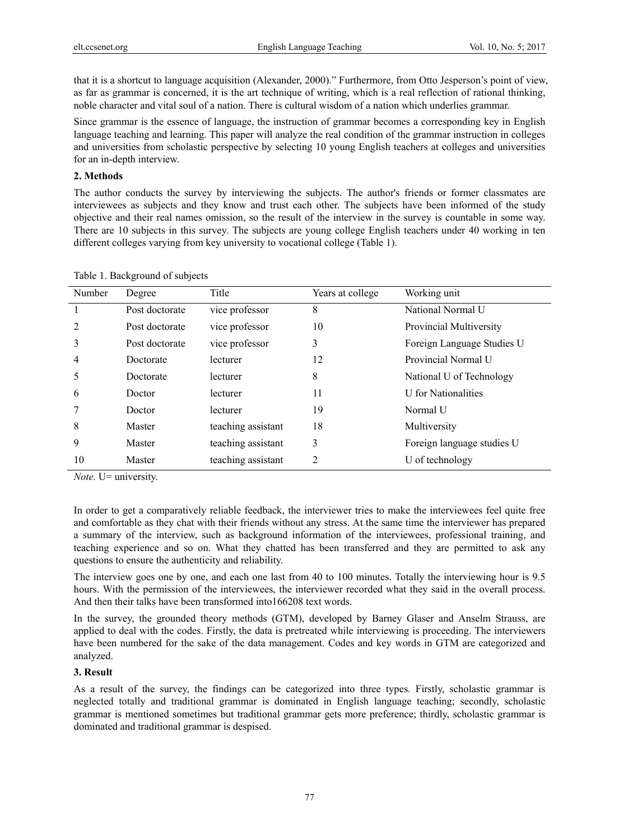that it is a shortcut to language acquisition (Alexander, 2000)." Furthermore, from Otto Jesperson's point of view, as far as grammar is concerned, it is the art technique of writing, which is a real reflection of rational thinking, noble character and vital soul of a nation. There is cultural wisdom of a nation which underlies grammar.

Since grammar is the essence of language, the instruction of grammar becomes a corresponding key in English language teaching and learning. This paper will analyze the real condition of the grammar instruction in colleges and universities from scholastic perspective by selecting 10 young English teachers at colleges and universities for an in-depth interview.

## **2. Methods**

The author conducts the survey by interviewing the subjects. The author's friends or former classmates are interviewees as subjects and they know and trust each other. The subjects have been informed of the study objective and their real names omission, so the result of the interview in the survey is countable in some way. There are 10 subjects in this survey. The subjects are young college English teachers under 40 working in ten different colleges varying from key university to vocational college (Table 1).

| Number         | Degree         | Title              | Years at college | Working unit               |
|----------------|----------------|--------------------|------------------|----------------------------|
|                | Post doctorate | vice professor     | 8                | National Normal U          |
| 2              | Post doctorate | vice professor     | 10               | Provincial Multiversity    |
| 3              | Post doctorate | vice professor     | 3                | Foreign Language Studies U |
| $\overline{4}$ | Doctorate      | lecturer           | 12               | Provincial Normal U        |
| 5              | Doctorate      | lecturer           | 8                | National U of Technology   |
| 6              | Doctor         | lecturer           | 11               | U for Nationalities        |
|                | Doctor         | lecturer           | 19               | Normal U                   |
| 8              | Master         | teaching assistant | 18               | Multiversity               |
| 9              | Master         | teaching assistant | 3                | Foreign language studies U |
| 10             | Master         | teaching assistant | 2                | U of technology            |

|  | Table 1. Background of subjects |  |
|--|---------------------------------|--|
|--|---------------------------------|--|

*Note.* U= university.

In order to get a comparatively reliable feedback, the interviewer tries to make the interviewees feel quite free and comfortable as they chat with their friends without any stress. At the same time the interviewer has prepared a summary of the interview, such as background information of the interviewees, professional training, and teaching experience and so on. What they chatted has been transferred and they are permitted to ask any questions to ensure the authenticity and reliability.

The interview goes one by one, and each one last from 40 to 100 minutes. Totally the interviewing hour is 9.5 hours. With the permission of the interviewees, the interviewer recorded what they said in the overall process. And then their talks have been transformed into166208 text words.

In the survey, the grounded theory methods (GTM), developed by Barney Glaser and Anselm Strauss, are applied to deal with the codes. Firstly, the data is pretreated while interviewing is proceeding. The interviewers have been numbered for the sake of the data management. Codes and key words in GTM are categorized and analyzed.

## **3. Result**

As a result of the survey, the findings can be categorized into three types. Firstly, scholastic grammar is neglected totally and traditional grammar is dominated in English language teaching; secondly, scholastic grammar is mentioned sometimes but traditional grammar gets more preference; thirdly, scholastic grammar is dominated and traditional grammar is despised.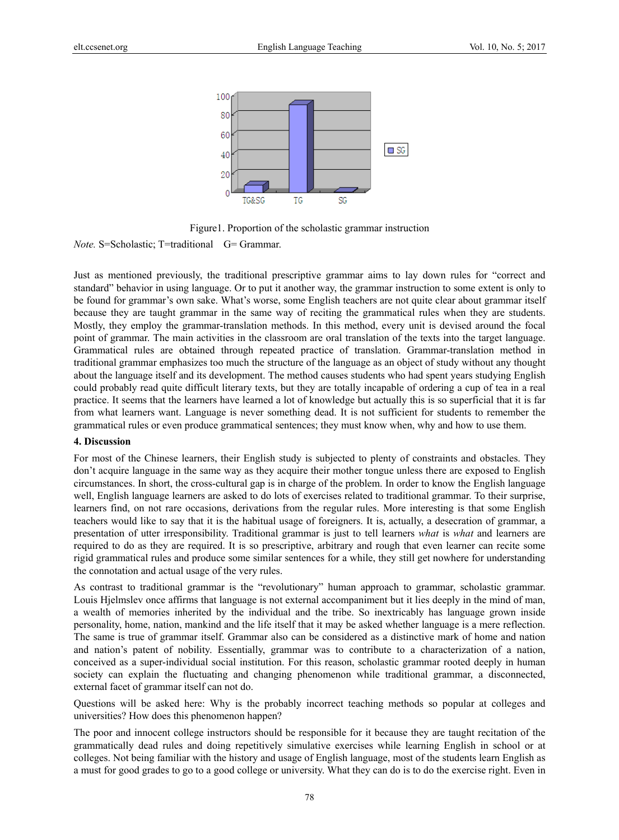

Figure1. Proportion of the scholastic grammar instruction *Note.* S=Scholastic; T=traditional G= Grammar.

Just as mentioned previously, the traditional prescriptive grammar aims to lay down rules for "correct and standard" behavior in using language. Or to put it another way, the grammar instruction to some extent is only to be found for grammar's own sake. What's worse, some English teachers are not quite clear about grammar itself because they are taught grammar in the same way of reciting the grammatical rules when they are students. Mostly, they employ the grammar-translation methods. In this method, every unit is devised around the focal point of grammar. The main activities in the classroom are oral translation of the texts into the target language. Grammatical rules are obtained through repeated practice of translation. Grammar-translation method in traditional grammar emphasizes too much the structure of the language as an object of study without any thought about the language itself and its development. The method causes students who had spent years studying English could probably read quite difficult literary texts, but they are totally incapable of ordering a cup of tea in a real practice. It seems that the learners have learned a lot of knowledge but actually this is so superficial that it is far from what learners want. Language is never something dead. It is not sufficient for students to remember the grammatical rules or even produce grammatical sentences; they must know when, why and how to use them.

#### **4. Discussion**

For most of the Chinese learners, their English study is subjected to plenty of constraints and obstacles. They don't acquire language in the same way as they acquire their mother tongue unless there are exposed to English circumstances. In short, the cross-cultural gap is in charge of the problem. In order to know the English language well, English language learners are asked to do lots of exercises related to traditional grammar. To their surprise, learners find, on not rare occasions, derivations from the regular rules. More interesting is that some English teachers would like to say that it is the habitual usage of foreigners. It is, actually, a desecration of grammar, a presentation of utter irresponsibility. Traditional grammar is just to tell learners *what* is *what* and learners are required to do as they are required. It is so prescriptive, arbitrary and rough that even learner can recite some rigid grammatical rules and produce some similar sentences for a while, they still get nowhere for understanding the connotation and actual usage of the very rules.

As contrast to traditional grammar is the "revolutionary" human approach to grammar, scholastic grammar. Louis Hjelmslev once affirms that language is not external accompaniment but it lies deeply in the mind of man, a wealth of memories inherited by the individual and the tribe. So inextricably has language grown inside personality, home, nation, mankind and the life itself that it may be asked whether language is a mere reflection. The same is true of grammar itself. Grammar also can be considered as a distinctive mark of home and nation and nation's patent of nobility. Essentially, grammar was to contribute to a characterization of a nation, conceived as a super-individual social institution. For this reason, scholastic grammar rooted deeply in human society can explain the fluctuating and changing phenomenon while traditional grammar, a disconnected, external facet of grammar itself can not do.

Questions will be asked here: Why is the probably incorrect teaching methods so popular at colleges and universities? How does this phenomenon happen?

The poor and innocent college instructors should be responsible for it because they are taught recitation of the grammatically dead rules and doing repetitively simulative exercises while learning English in school or at colleges. Not being familiar with the history and usage of English language, most of the students learn English as a must for good grades to go to a good college or university. What they can do is to do the exercise right. Even in

78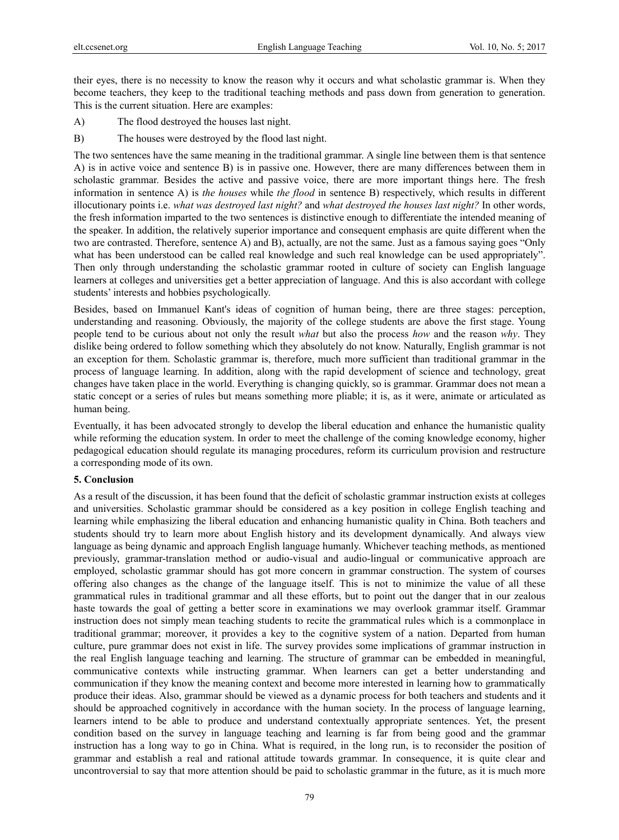their eyes, there is no necessity to know the reason why it occurs and what scholastic grammar is. When they become teachers, they keep to the traditional teaching methods and pass down from generation to generation. This is the current situation. Here are examples:

- A) The flood destroyed the houses last night.
- B) The houses were destroyed by the flood last night.

The two sentences have the same meaning in the traditional grammar. A single line between them is that sentence A) is in active voice and sentence B) is in passive one. However, there are many differences between them in scholastic grammar. Besides the active and passive voice, there are more important things here. The fresh information in sentence A) is *the houses* while *the flood* in sentence B) respectively, which results in different illocutionary points i.e. *what was destroyed last night?* and *what destroyed the houses last night?* In other words, the fresh information imparted to the two sentences is distinctive enough to differentiate the intended meaning of the speaker. In addition, the relatively superior importance and consequent emphasis are quite different when the two are contrasted. Therefore, sentence A) and B), actually, are not the same. Just as a famous saying goes "Only what has been understood can be called real knowledge and such real knowledge can be used appropriately". Then only through understanding the scholastic grammar rooted in culture of society can English language learners at colleges and universities get a better appreciation of language. And this is also accordant with college students' interests and hobbies psychologically.

Besides, based on Immanuel Kant's ideas of cognition of human being, there are three stages: perception, understanding and reasoning. Obviously, the majority of the college students are above the first stage. Young people tend to be curious about not only the result *what* but also the process *how* and the reason *why*. They dislike being ordered to follow something which they absolutely do not know. Naturally, English grammar is not an exception for them. Scholastic grammar is, therefore, much more sufficient than traditional grammar in the process of language learning. In addition, along with the rapid development of science and technology, great changes have taken place in the world. Everything is changing quickly, so is grammar. Grammar does not mean a static concept or a series of rules but means something more pliable; it is, as it were, animate or articulated as human being.

Eventually, it has been advocated strongly to develop the liberal education and enhance the humanistic quality while reforming the education system. In order to meet the challenge of the coming knowledge economy, higher pedagogical education should regulate its managing procedures, reform its curriculum provision and restructure a corresponding mode of its own.

## **5. Conclusion**

As a result of the discussion, it has been found that the deficit of scholastic grammar instruction exists at colleges and universities. Scholastic grammar should be considered as a key position in college English teaching and learning while emphasizing the liberal education and enhancing humanistic quality in China. Both teachers and students should try to learn more about English history and its development dynamically. And always view language as being dynamic and approach English language humanly. Whichever teaching methods, as mentioned previously, grammar-translation method or audio-visual and audio-lingual or communicative approach are employed, scholastic grammar should has got more concern in grammar construction. The system of courses offering also changes as the change of the language itself. This is not to minimize the value of all these grammatical rules in traditional grammar and all these efforts, but to point out the danger that in our zealous haste towards the goal of getting a better score in examinations we may overlook grammar itself. Grammar instruction does not simply mean teaching students to recite the grammatical rules which is a commonplace in traditional grammar; moreover, it provides a key to the cognitive system of a nation. Departed from human culture, pure grammar does not exist in life. The survey provides some implications of grammar instruction in the real English language teaching and learning. The structure of grammar can be embedded in meaningful, communicative contexts while instructing grammar. When learners can get a better understanding and communication if they know the meaning context and become more interested in learning how to grammatically produce their ideas. Also, grammar should be viewed as a dynamic process for both teachers and students and it should be approached cognitively in accordance with the human society. In the process of language learning, learners intend to be able to produce and understand contextually appropriate sentences. Yet, the present condition based on the survey in language teaching and learning is far from being good and the grammar instruction has a long way to go in China. What is required, in the long run, is to reconsider the position of grammar and establish a real and rational attitude towards grammar. In consequence, it is quite clear and uncontroversial to say that more attention should be paid to scholastic grammar in the future, as it is much more